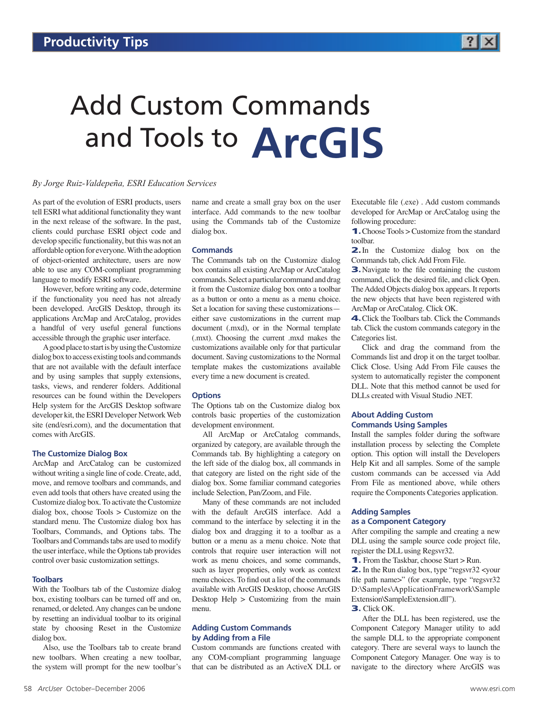

# Add Custom Commands and Tools to **ArcGIS**

# *By Jorge Ruiz-Valdepeña, ESRI Education Services*

As part of the evolution of ESRI products, users tell ESRI what additional functionality they want in the next release of the software. In the past, clients could purchase ESRI object code and develop specific functionality, but this was not an affordable option for everyone. With the adoption of object-oriented architecture, users are now able to use any COM-compliant programming language to modify ESRI software.

However, before writing any code, determine if the functionality you need has not already been developed. ArcGIS Desktop, through its applications ArcMap and ArcCatalog, provides a handful of very useful general functions accessible through the graphic user interface.

A good place to start is by using the Customize dialog box to access existing tools and commands that are not available with the default interface and by using samples that supply extensions, tasks, views, and renderer folders. Additional resources can be found within the Developers Help system for the ArcGIS Desktop software developer kit, the ESRI Developer Network Web site (end/esri.com), and the documentation that comes with ArcGIS.

## **The Customize Dialog Box**

ArcMap and ArcCatalog can be customized without writing a single line of code. Create, add, move, and remove toolbars and commands, and even add tools that others have created using the Customize dialog box. To activate the Customize dialog box, choose Tools > Customize on the standard menu. The Customize dialog box has Toolbars, Commands, and Options tabs. The Toolbars and Commands tabs are used to modify the user interface, while the Options tab provides control over basic customization settings.

#### **Toolbars**

With the Toolbars tab of the Customize dialog box, existing toolbars can be turned off and on, renamed, or deleted. Any changes can be undone by resetting an individual toolbar to its original state by choosing Reset in the Customize dialog box.

Also, use the Toolbars tab to create brand new toolbars. When creating a new toolbar, the system will prompt for the new toolbar's

name and create a small gray box on the user interface. Add commands to the new toolbar using the Commands tab of the Customize dialog box.

#### **Commands**

The Commands tab on the Customize dialog box contains all existing ArcMap or ArcCatalog commands. Select a particular command and drag it from the Customize dialog box onto a toolbar as a button or onto a menu as a menu choice. Set a location for saving these customizations either save customizations in the current map document (.mxd), or in the Normal template (.mxt). Choosing the current .mxd makes the customizations available only for that particular document. Saving customizations to the Normal template makes the customizations available every time a new document is created.

#### **Options**

The Options tab on the Customize dialog box controls basic properties of the customization development environment.

All ArcMap or ArcCatalog commands, organized by category, are available through the Commands tab. By highlighting a category on the left side of the dialog box, all commands in that category are listed on the right side of the dialog box. Some familiar command categories include Selection, Pan/Zoom, and File.

Many of these commands are not included with the default ArcGIS interface. Add a command to the interface by selecting it in the dialog box and dragging it to a toolbar as a button or a menu as a menu choice. Note that controls that require user interaction will not work as menu choices, and some commands, such as layer properties, only work as context menu choices. To find out a list of the commands available with ArcGIS Desktop, choose ArcGIS Desktop  $Help$  > Customizing from the main menu.

### **Adding Custom Commands by Adding from a File**

Custom commands are functions created with any COM-compliant programming language that can be distributed as an ActiveX DLL or Executable file (.exe) . Add custom commands developed for ArcMap or ArcCatalog using the following procedure:

1.Choose Tools > Customize from the standard toolbar.

**2.** In the Customize dialog box on the Commands tab, click Add From File.

**3.** Navigate to the file containing the custom command, click the desired file, and click Open. The Added Objects dialog box appears. It reports the new objects that have been registered with ArcMap or ArcCatalog. Click OK.

4.Click the Toolbars tab. Click the Commands tab. Click the custom commands category in the Categories list.

Click and drag the command from the Commands list and drop it on the target toolbar. Click Close. Using Add From File causes the system to automatically register the component DLL. Note that this method cannot be used for DLLs created with Visual Studio .NET.

## **About Adding Custom Commands Using Samples**

Install the samples folder during the software installation process by selecting the Complete option. This option will install the Developers Help Kit and all samples. Some of the sample custom commands can be accessed via Add From File as mentioned above, while others require the Components Categories application.

#### **Adding Samples**

## **as a Component Category**

After compiling the sample and creating a new DLL using the sample source code project file, register the DLL using Regsvr32.

1. From the Taskbar, choose Start > Run.

2. In the Run dialog box, type "regsvr32 <your file path name>" (for example, type "regsvr32 D:\Samples\ApplicationFramework\Sample Extension\SampleExtension.dll").

3. Click OK.

After the DLL has been registered, use the Component Category Manager utility to add the sample DLL to the appropriate component category. There are several ways to launch the Component Category Manager. One way is to navigate to the directory where ArcGIS was